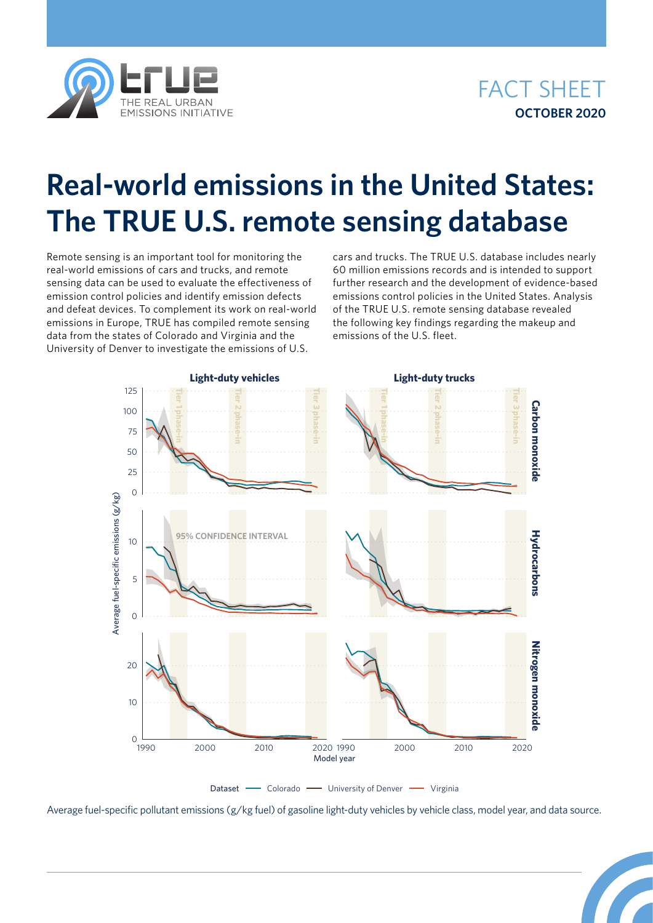



## **Real-world emissions in the United States: The TRUE U.S. remote sensing database**

Remote sensing is an important tool for monitoring the real-world emissions of cars and trucks, and remote sensing data can be used to evaluate the effectiveness of emission control policies and identify emission defects and defeat devices. To complement its work on real-world emissions in Europe, TRUE has compiled remote sensing data from the states of Colorado and Virginia and the University of Denver to investigate the emissions of U.S.

cars and trucks. The TRUE U.S. database includes nearly 60 million emissions records and is intended to support further research and the development of evidence-based emissions control policies in the United States. Analysis of the TRUE U.S. remote sensing database revealed the following key findings regarding the makeup and emissions of the U.S. fleet.



Average fuel-specific pollutant emissions (g/kg fuel) of gasoline light-duty vehicles by vehicle class, model year, and data source.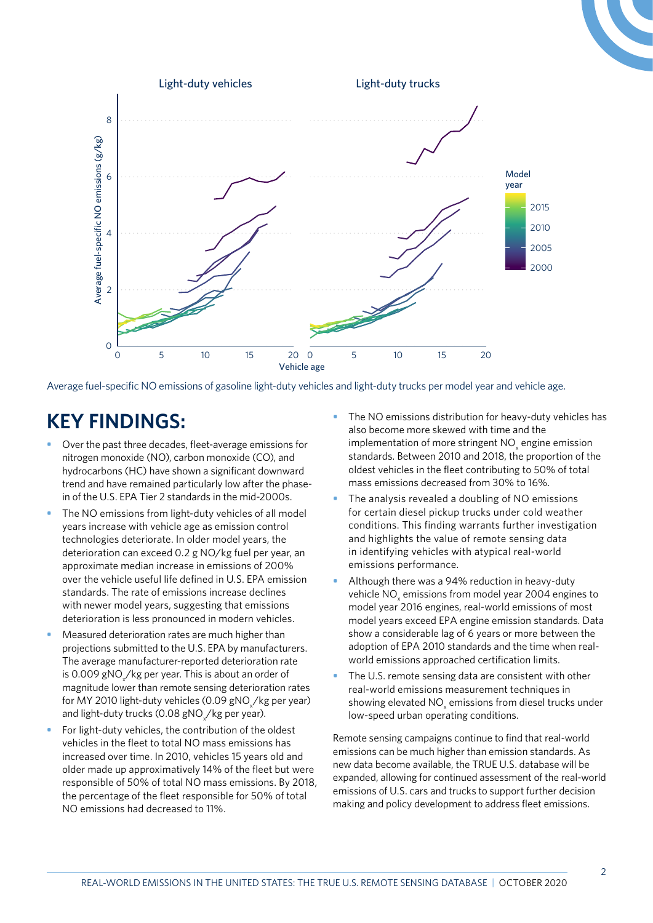

Average fuel-specific NO emissions of gasoline light-duty vehicles and light-duty trucks per model year and vehicle age.

## **KEY FINDINGS:**

- **•** Over the past three decades, fleet-average emissions for nitrogen monoxide (NO), carbon monoxide (CO), and hydrocarbons (HC) have shown a significant downward trend and have remained particularly low after the phasein of the U.S. EPA Tier 2 standards in the mid-2000s.
- **•** The NO emissions from light-duty vehicles of all model years increase with vehicle age as emission control technologies deteriorate. In older model years, the deterioration can exceed 0.2 g NO/kg fuel per year, an approximate median increase in emissions of 200% over the vehicle useful life defined in U.S. EPA emission standards. The rate of emissions increase declines with newer model years, suggesting that emissions deterioration is less pronounced in modern vehicles.
- **•** Measured deterioration rates are much higher than projections submitted to the U.S. EPA by manufacturers. The average manufacturer-reported deterioration rate is 0.009 gNO $_{\!\scriptscriptstyle \chi}\!/$ kg per year. This is about an order of magnitude lower than remote sensing deterioration rates for MY 2010 light-duty vehicles (0.09 gNO $_{\sf x}$ /kg per year) and light-duty trucks (0.08 gNO<sub>x</sub>/kg per year).
- **•** For light-duty vehicles, the contribution of the oldest vehicles in the fleet to total NO mass emissions has increased over time. In 2010, vehicles 15 years old and older made up approximatively 14% of the fleet but were responsible of 50% of total NO mass emissions. By 2018, the percentage of the fleet responsible for 50% of total NO emissions had decreased to 11%.
- **•** The NO emissions distribution for heavy-duty vehicles has also become more skewed with time and the implementation of more stringent  $NO_{\mathbf{x}}$  engine emission standards. Between 2010 and 2018, the proportion of the oldest vehicles in the fleet contributing to 50% of total mass emissions decreased from 30% to 16%.
- **•** The analysis revealed a doubling of NO emissions for certain diesel pickup trucks under cold weather conditions. This finding warrants further investigation and highlights the value of remote sensing data in identifying vehicles with atypical real-world emissions performance.
- **•** Although there was a 94% reduction in heavy-duty vehicle NO $_{\mathrm{\star}}$  emissions from model year 2004 engines to model year 2016 engines, real-world emissions of most model years exceed EPA engine emission standards. Data show a considerable lag of 6 years or more between the adoption of EPA 2010 standards and the time when realworld emissions approached certification limits.
- **•** The U.S. remote sensing data are consistent with other real-world emissions measurement techniques in showing elevated NO<sub>x</sub> emissions from diesel trucks under low-speed urban operating conditions.

Remote sensing campaigns continue to find that real-world emissions can be much higher than emission standards. As new data become available, the TRUE U.S. database will be expanded, allowing for continued assessment of the real-world emissions of U.S. cars and trucks to support further decision making and policy development to address fleet emissions.